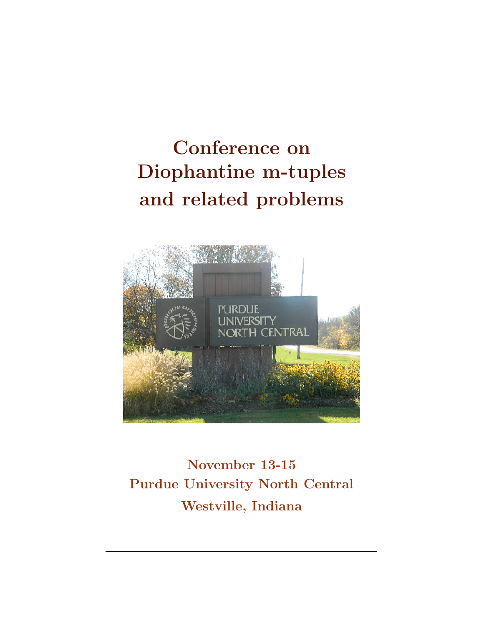# Conference on Diophantine m-tuples and related problems



November 13-15 Purdue University North Central Westville, Indiana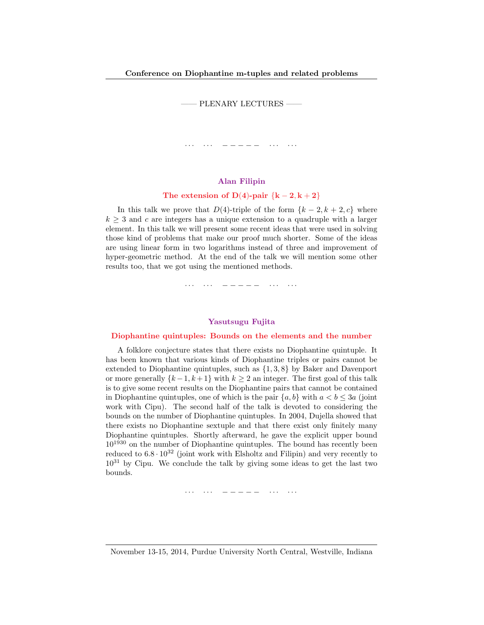—— PLENARY LECTURES ——

· · · · · · − − − − − · · · · · ·

## Alan Filipin

# The extension of D(4)-pair  $\{k-2, k+2\}$

In this talk we prove that  $D(4)$ -triple of the form  $\{k-2, k+2, c\}$  where  $k \geq 3$  and c are integers has a unique extension to a quadruple with a larger element. In this talk we will present some recent ideas that were used in solving those kind of problems that make our proof much shorter. Some of the ideas are using linear form in two logarithms instead of three and improvement of hyper-geometric method. At the end of the talk we will mention some other results too, that we got using the mentioned methods.

· · · · · · − − − − − · · · · · ·

# Yasutsugu Fujita

#### Diophantine quintuples: Bounds on the elements and the number

A folklore conjecture states that there exists no Diophantine quintuple. It has been known that various kinds of Diophantine triples or pairs cannot be extended to Diophantine quintuples, such as {1, 3, 8} by Baker and Davenport or more generally  $\{k-1, k+1\}$  with  $k \geq 2$  an integer. The first goal of this talk is to give some recent results on the Diophantine pairs that cannot be contained in Diophantine quintuples, one of which is the pair  ${a, b}$  with  $a < b \leq 3a$  (joint work with Cipu). The second half of the talk is devoted to considering the bounds on the number of Diophantine quintuples. In 2004, Dujella showed that there exists no Diophantine sextuple and that there exist only finitely many Diophantine quintuples. Shortly afterward, he gave the explicit upper bound  $10^{1930}$  on the number of Diophantine quintuples. The bound has recently been reduced to  $6.8 \cdot 10^{32}$  (joint work with Elsholtz and Filipin) and very recently to  $10^{31}$  by Cipu. We conclude the talk by giving some ideas to get the last two bounds.

· · · · · · − − − − − · · · · · ·

November 13-15, 2014, Purdue University North Central, Westville, Indiana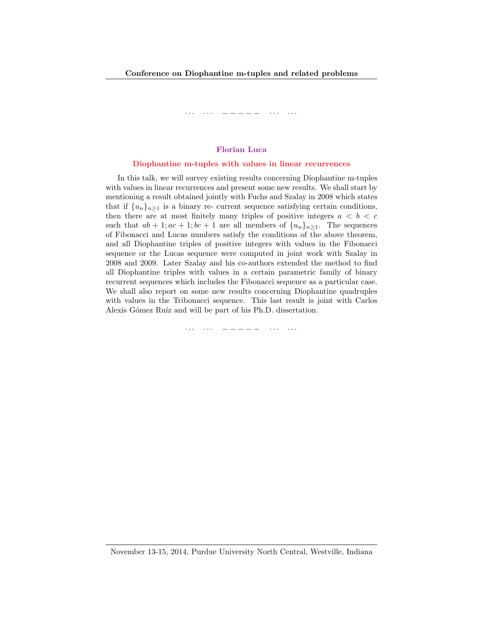#### Florian Luca

#### Diophantine m-tuples with values in linear recurrences

In this talk, we will survey existing results concerning Diophantine m-tuples with values in linear recurrences and present some new results. We shall start by mentioning a result obtained jointly with Fuchs and Szalay in 2008 which states that if  $\{u_n\}_{n\geq 1}$  is a binary re- current sequence satisfying certain conditions, then there are at most finitely many triples of positive integers  $a < b < c$ such that  $ab + 1; ac + 1; bc + 1$  are all members of  $\{u_n\}_{n>1}$ . The sequences of Fibonacci and Lucas numbers satisfy the conditions of the above theorem, and all Diophantine triples of positive integers with values in the Fibonacci sequence or the Lucas sequence were computed in joint work with Szalay in 2008 and 2009. Later Szalay and his co-authors extended the method to find all Diophantine triples with values in a certain parametric family of binary recurrent sequences which includes the Fibonacci sequence as a particular case. We shall also report on some new results concerning Diophantine quadruples with values in the Tribonacci sequence. This last result is joint with Carlos Alexis Gómez Ruíz and will be part of his Ph.D. dissertation.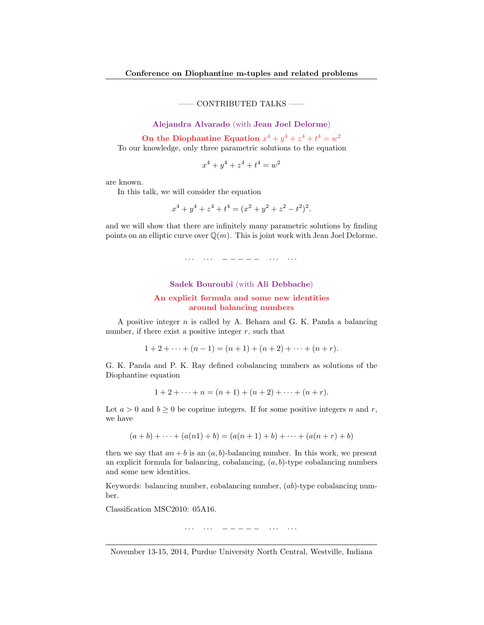—— CONTRIBUTED TALKS ——

Alejandra Alvarado (with Jean Joel Delorme)

On the Diophantine Equation  $x^4 + y^4 + z^4 + t^4 = w^2$ To our knowledge, only three parametric solutions to the equation

$$
x^4 + y^4 + z^4 + t^4 = w^2
$$

are known.

In this talk, we will consider the equation

$$
x^{4} + y^{4} + z^{4} + t^{4} = (x^{2} + y^{2} + z^{2} - t^{2})^{2}.
$$

and we will show that there are infinitely many parametric solutions by finding points on an elliptic curve over  $\mathbb{Q}(m)$ . This is joint work with Jean Joel Delorme.

· · · · · · − − − − − · · · · · ·

# Sadek Bouroubi (with Ali Debbache)

# An explicit formula and some new identities around balancing numbers

A positive integer  $n$  is called by A. Behara and G. K. Panda a balancing number, if there exist a positive integer  $r$ , such that

 $1 + 2 + \cdots + (n - 1) = (n + 1) + (n + 2) + \cdots + (n + r).$ 

G. K. Panda and P. K. Ray defined cobalancing numbers as solutions of the Diophantine equation

$$
1 + 2 + \dots + n = (n + 1) + (n + 2) + \dots + (n + r).
$$

Let  $a > 0$  and  $b \ge 0$  be coprime integers. If for some positive integers n and r, we have

$$
(a+b)+\cdots+(a(n1)+b)=(a(n+1)+b)+\cdots+(a(n+r)+b)
$$

then we say that  $an + b$  is an  $(a, b)$ -balancing number. In this work, we present an explicit formula for balancing, cobalancing,  $(a, b)$ -type cobalancing numbers and some new identities.

Keywords: balancing number, cobalancing number,  $(ab)$ -type cobalancing number.

Classification MSC2010: 05A16.

· · · · · · − − − − − · · · · · ·

November 13-15, 2014, Purdue University North Central, Westville, Indiana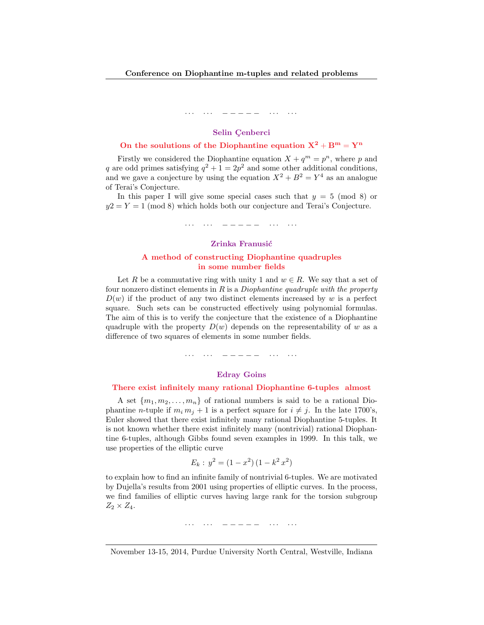## Selin Cenberci

# On the soulutions of the Diophantine equation  $X^2 + B^m = Y^n$

Firstly we considered the Diophantine equation  $X + q^m = p^n$ , where p and q are odd primes satisfying  $q^2 + 1 = 2p^2$  and some other additional conditions, and we gave a conjecture by using the equation  $X^2 + B^2 = Y^4$  as an analogue of Terai's Conjecture.

In this paper I will give some special cases such that  $y = 5 \pmod{8}$  or  $y2 = Y = 1 \pmod{8}$  which holds both our conjecture and Terai's Conjecture.

· · · · · · − − − − − · · · · · ·

# Zrinka Franusić

#### A method of constructing Diophantine quadruples in some number fields

Let R be a commutative ring with unity 1 and  $w \in R$ . We say that a set of four nonzero distinct elements in  $R$  is a *Diophantine quadruple with the property*  $D(w)$  if the product of any two distinct elements increased by w is a perfect square. Such sets can be constructed effectively using polynomial formulas. The aim of this is to verify the conjecture that the existence of a Diophantine quadruple with the property  $D(w)$  depends on the representability of w as a difference of two squares of elements in some number fields.

· · · · · · − − − − − · · · · · ·

## Edray Goins

#### There exist infinitely many rational Diophantine 6-tuples almost

A set  $\{m_1, m_2, \ldots, m_n\}$  of rational numbers is said to be a rational Diophantine *n*-tuple if  $m_i m_j + 1$  is a perfect square for  $i \neq j$ . In the late 1700's, Euler showed that there exist infinitely many rational Diophantine 5-tuples. It is not known whether there exist infinitely many (nontrivial) rational Diophantine 6-tuples, although Gibbs found seven examples in 1999. In this talk, we use properties of the elliptic curve

$$
E_k: y^2 = (1 - x^2) (1 - k^2 x^2)
$$

to explain how to find an infinite family of nontrivial 6-tuples. We are motivated by Dujella's results from 2001 using properties of elliptic curves. In the process, we find families of elliptic curves having large rank for the torsion subgroup  $Z_2 \times Z_4$ .

· · · · · · − − − − − · · · · · ·

November 13-15, 2014, Purdue University North Central, Westville, Indiana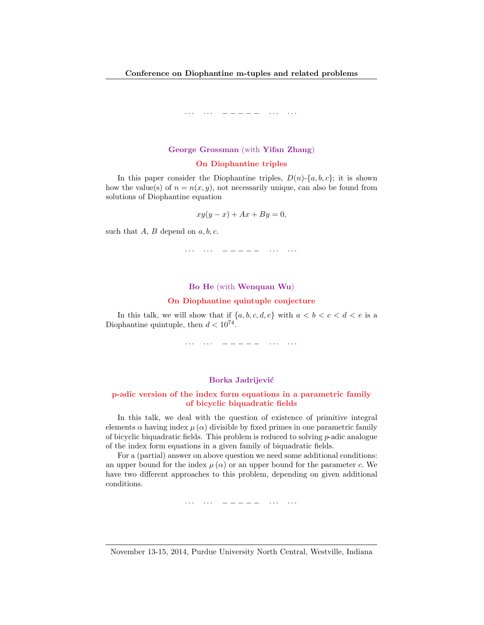### George Grossman (with Yifan Zhang)

#### On Diophantine triples

In this paper consider the Diophantine triples,  $D(n)$ -{a, b, c}; it is shown how the value(s) of  $n = n(x, y)$ , not necessarily unique, can also be found from solutions of Diophantine equation

$$
xy(y - x) + Ax + By = 0,
$$

such that  $A, B$  depend on  $a, b, c$ .

· · · · · · − − − − − · · · · · ·

#### Bo He (with Wenquan Wu)

#### On Diophantine quintuple conjecture

In this talk, we will show that if  $\{a, b, c, d, e\}$  with  $a < b < c < d < e$  is a Diophantine quintuple, then  $d < 10^{74}$ .

· · · · · · − − − − − · · · · · ·

#### Borka Jadrijević

# p-adic version of the index form equations in a parametric family of bicyclic biquadratic fields

In this talk, we deal with the question of existence of primitive integral elements  $\alpha$  having index  $\mu(\alpha)$  divisible by fixed primes in one parametric family of bicyclic biquadratic fields. This problem is reduced to solving p-adic analogue of the index form equations in a given family of biquadratic fields.

For a (partial) answer on above question we need some additional conditions: an upper bound for the index  $\mu(\alpha)$  or an upper bound for the parameter c. We have two different approaches to this problem, depending on given additional conditions.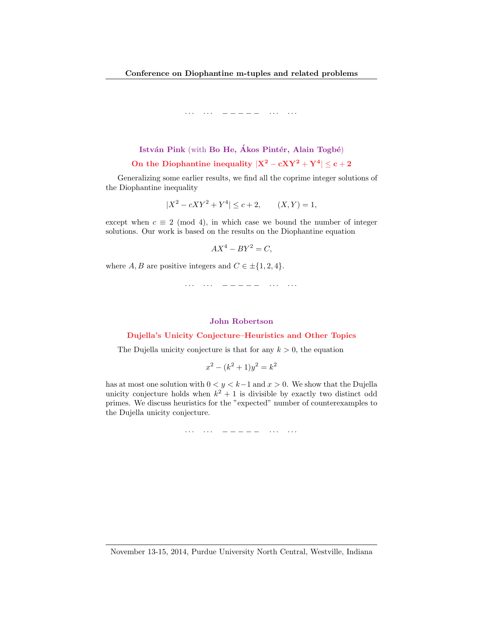# István Pink (with Bo He, Ákos Pintér, Alain Togbé) On the Diophantine inequality  $|X^2 - cXY^2 + Y^4| \le c + 2$

Generalizing some earlier results, we find all the coprime integer solutions of the Diophantine inequality

$$
|X^2 - cXY^2 + Y^4| \le c + 2, \qquad (X, Y) = 1,
$$

except when  $c \equiv 2 \pmod{4}$ , in which case we bound the number of integer solutions. Our work is based on the results on the Diophantine equation

$$
AX^4 - BY^2 = C,
$$

where  $A, B$  are positive integers and  $C \in \pm \{1, 2, 4\}.$ 

· · · · · · − − − − − · · · · · ·

#### John Robertson

#### Dujella's Unicity Conjecture–Heuristics and Other Topics

The Dujella unicity conjecture is that for any  $k > 0$ , the equation

$$
x^2 - (k^2 + 1)y^2 = k^2
$$

has at most one solution with  $0 < y < k-1$  and  $x > 0$ . We show that the Dujella unicity conjecture holds when  $k^2 + 1$  is divisible by exactly two distinct odd primes. We discuss heuristics for the "expected" number of counterexamples to the Dujella unicity conjecture.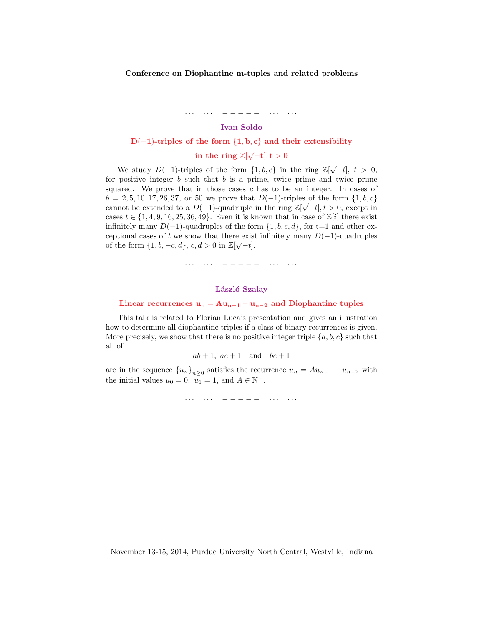# Ivan Soldo

#### D(-1)-triples of the form  $\{1, b, c\}$  and their extensibility

# in the ring  $\mathbb{Z}[\sqrt{-t}], t > 0$

We study  $D(-1)$ -triples of the form  $\{1, b, c\}$  in the ring  $\mathbb{Z}[\sqrt{-t}]$ ,  $t > 0$ , for positive integer  $b$  such that  $b$  is a prime, twice prime and twice prime squared. We prove that in those cases  $c$  has to be an integer. In cases of  $b = 2, 5, 10, 17, 26, 37,$  or 50 we prove that  $D(-1)$ -triples of the form  $\{1, b, c\}$ cannot be extended to a  $D(-1)$ -quadruple in the ring  $\mathbb{Z}[\sqrt{-t}], t > 0$ , except in cases  $t \in \{1, 4, 9, 16, 25, 36, 49\}$ . Even it is known that in case of  $\mathbb{Z}[i]$  there exist infinitely many  $D(-1)$ -quadruples of the form  $\{1, b, c, d\}$ , for t=1 and other exceptional cases of t we show that there exist infinitely many  $D(-1)$ -quadruples of the form  $\{1, b, -c, d\}$ ,  $c, d > 0$  in  $\mathbb{Z}[\sqrt{-t}]$ .

· · · · · · · − − − − − · · · · · · ·

#### László Szalay

# Linear recurrences  $u_n = Au_{n-1} - u_{n-2}$  and Diophantine tuples

This talk is related to Florian Luca's presentation and gives an illustration how to determine all diophantine triples if a class of binary recurrences is given. More precisely, we show that there is no positive integer triple  $\{a, b, c\}$  such that all of

$$
ab+1, ac+1 \quad \text{and} \quad bc+1
$$

are in the sequence  ${u_n}_{n\geq 0}$  satisfies the recurrence  $u_n = Au_{n-1} - u_{n-2}$  with the initial values  $u_0 = 0$ ,  $u_1 = 1$ , and  $A \in \mathbb{N}^+$ .